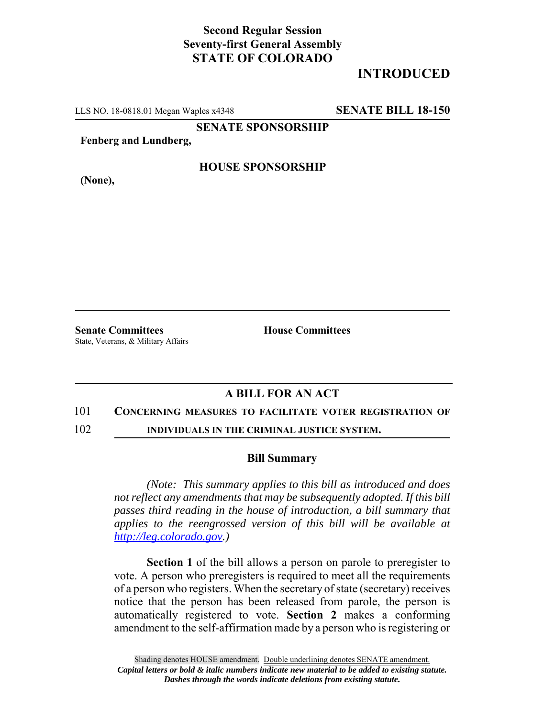## **Second Regular Session Seventy-first General Assembly STATE OF COLORADO**

# **INTRODUCED**

LLS NO. 18-0818.01 Megan Waples x4348 **SENATE BILL 18-150**

**SENATE SPONSORSHIP**

**Fenberg and Lundberg,**

**(None),**

### **HOUSE SPONSORSHIP**

**Senate Committees House Committees** State, Veterans, & Military Affairs

### **A BILL FOR AN ACT**

#### 101 **CONCERNING MEASURES TO FACILITATE VOTER REGISTRATION OF**

102 **INDIVIDUALS IN THE CRIMINAL JUSTICE SYSTEM.**

#### **Bill Summary**

*(Note: This summary applies to this bill as introduced and does not reflect any amendments that may be subsequently adopted. If this bill passes third reading in the house of introduction, a bill summary that applies to the reengrossed version of this bill will be available at http://leg.colorado.gov.)*

**Section 1** of the bill allows a person on parole to preregister to vote. A person who preregisters is required to meet all the requirements of a person who registers. When the secretary of state (secretary) receives notice that the person has been released from parole, the person is automatically registered to vote. **Section 2** makes a conforming amendment to the self-affirmation made by a person who is registering or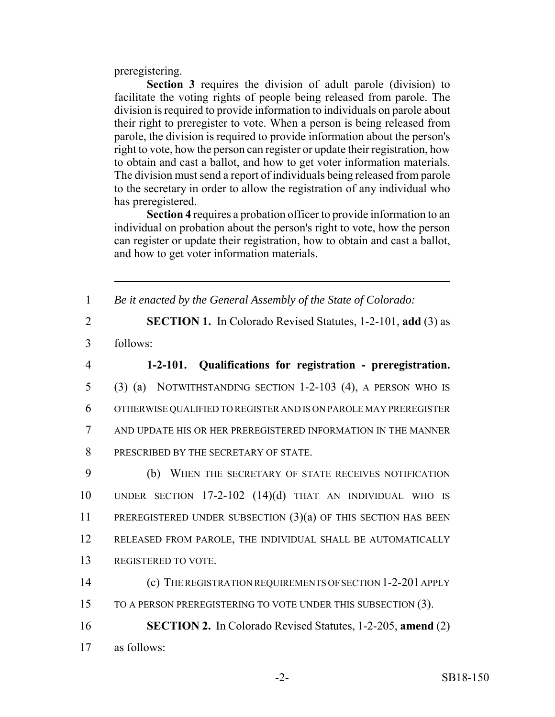preregistering.

**Section 3** requires the division of adult parole (division) to facilitate the voting rights of people being released from parole. The division is required to provide information to individuals on parole about their right to preregister to vote. When a person is being released from parole, the division is required to provide information about the person's right to vote, how the person can register or update their registration, how to obtain and cast a ballot, and how to get voter information materials. The division must send a report of individuals being released from parole to the secretary in order to allow the registration of any individual who has preregistered.

**Section 4** requires a probation officer to provide information to an individual on probation about the person's right to vote, how the person can register or update their registration, how to obtain and cast a ballot, and how to get voter information materials.

1 *Be it enacted by the General Assembly of the State of Colorado:*

- 2 **SECTION 1.** In Colorado Revised Statutes, 1-2-101, **add** (3) as
- 3 follows:

 **1-2-101. Qualifications for registration - preregistration.** (3) (a) NOTWITHSTANDING SECTION 1-2-103 (4), A PERSON WHO IS OTHERWISE QUALIFIED TO REGISTER AND IS ON PAROLE MAY PREREGISTER AND UPDATE HIS OR HER PREREGISTERED INFORMATION IN THE MANNER 8 PRESCRIBED BY THE SECRETARY OF STATE.

 (b) WHEN THE SECRETARY OF STATE RECEIVES NOTIFICATION UNDER SECTION 17-2-102 (14)(d) THAT AN INDIVIDUAL WHO IS PREREGISTERED UNDER SUBSECTION (3)(a) OF THIS SECTION HAS BEEN RELEASED FROM PAROLE, THE INDIVIDUAL SHALL BE AUTOMATICALLY REGISTERED TO VOTE.

- 14 (c) THE REGISTRATION REQUIREMENTS OF SECTION 1-2-201 APPLY 15 TO A PERSON PREREGISTERING TO VOTE UNDER THIS SUBSECTION (3).
- 16 **SECTION 2.** In Colorado Revised Statutes, 1-2-205, **amend** (2) 17 as follows: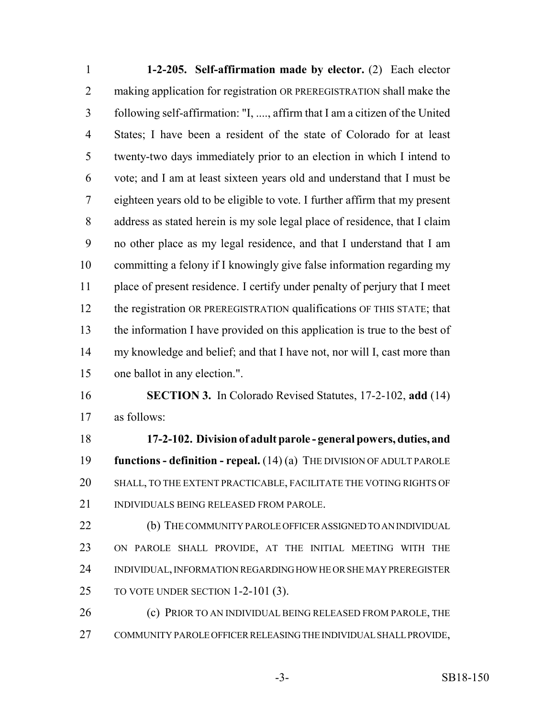**1-2-205. Self-affirmation made by elector.** (2) Each elector 2 making application for registration OR PREREGISTRATION shall make the following self-affirmation: "I, ...., affirm that I am a citizen of the United States; I have been a resident of the state of Colorado for at least twenty-two days immediately prior to an election in which I intend to vote; and I am at least sixteen years old and understand that I must be eighteen years old to be eligible to vote. I further affirm that my present address as stated herein is my sole legal place of residence, that I claim no other place as my legal residence, and that I understand that I am committing a felony if I knowingly give false information regarding my place of present residence. I certify under penalty of perjury that I meet 12 the registration OR PREREGISTRATION qualifications OF THIS STATE; that the information I have provided on this application is true to the best of my knowledge and belief; and that I have not, nor will I, cast more than one ballot in any election.". **SECTION 3.** In Colorado Revised Statutes, 17-2-102, **add** (14) as follows: **17-2-102. Division of adult parole - general powers, duties, and functions - definition - repeal.** (14) (a) THE DIVISION OF ADULT PAROLE

 SHALL, TO THE EXTENT PRACTICABLE, FACILITATE THE VOTING RIGHTS OF INDIVIDUALS BEING RELEASED FROM PAROLE.

22 (b) THE COMMUNITY PAROLE OFFICER ASSIGNED TO AN INDIVIDUAL ON PAROLE SHALL PROVIDE, AT THE INITIAL MEETING WITH THE INDIVIDUAL, INFORMATION REGARDING HOW HE OR SHE MAY PREREGISTER 25 TO VOTE UNDER SECTION 1-2-101 (3).

26 (c) PRIOR TO AN INDIVIDUAL BEING RELEASED FROM PAROLE, THE COMMUNITY PAROLE OFFICER RELEASING THE INDIVIDUAL SHALL PROVIDE,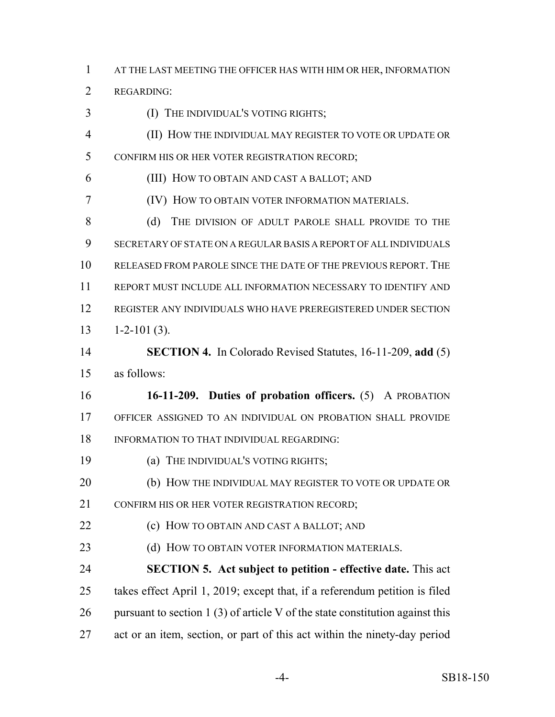AT THE LAST MEETING THE OFFICER HAS WITH HIM OR HER, INFORMATION

REGARDING:

(I) THE INDIVIDUAL'S VOTING RIGHTS;

 (II) HOW THE INDIVIDUAL MAY REGISTER TO VOTE OR UPDATE OR CONFIRM HIS OR HER VOTER REGISTRATION RECORD;

(III) HOW TO OBTAIN AND CAST A BALLOT; AND

(IV) HOW TO OBTAIN VOTER INFORMATION MATERIALS.

8 (d) THE DIVISION OF ADULT PAROLE SHALL PROVIDE TO THE SECRETARY OF STATE ON A REGULAR BASIS A REPORT OF ALL INDIVIDUALS RELEASED FROM PAROLE SINCE THE DATE OF THE PREVIOUS REPORT. THE REPORT MUST INCLUDE ALL INFORMATION NECESSARY TO IDENTIFY AND REGISTER ANY INDIVIDUALS WHO HAVE PREREGISTERED UNDER SECTION  $1-2-101(3)$ .

 **SECTION 4.** In Colorado Revised Statutes, 16-11-209, **add** (5) as follows:

 **16-11-209. Duties of probation officers.** (5) A PROBATION OFFICER ASSIGNED TO AN INDIVIDUAL ON PROBATION SHALL PROVIDE INFORMATION TO THAT INDIVIDUAL REGARDING:

(a) THE INDIVIDUAL'S VOTING RIGHTS;

(b) HOW THE INDIVIDUAL MAY REGISTER TO VOTE OR UPDATE OR

CONFIRM HIS OR HER VOTER REGISTRATION RECORD;

**(c) HOW TO OBTAIN AND CAST A BALLOT; AND** 

**(d) HOW TO OBTAIN VOTER INFORMATION MATERIALS.** 

 **SECTION 5. Act subject to petition - effective date.** This act takes effect April 1, 2019; except that, if a referendum petition is filed 26 pursuant to section 1 (3) of article V of the state constitution against this act or an item, section, or part of this act within the ninety-day period